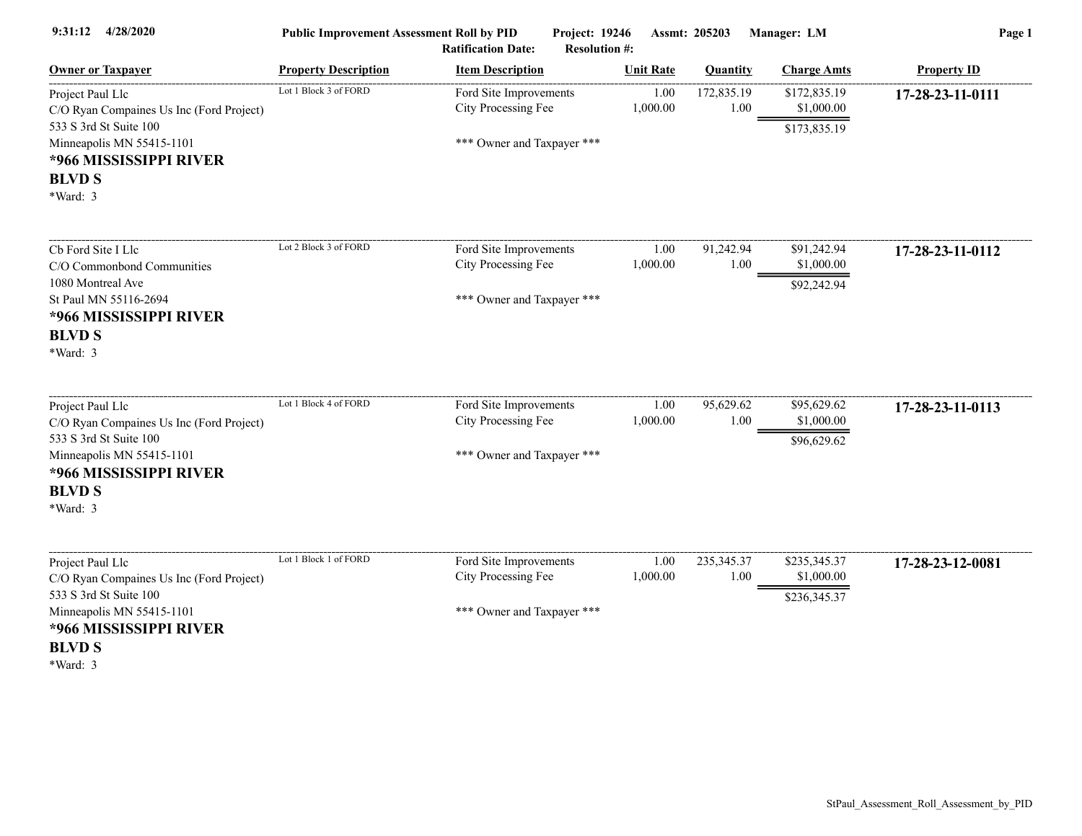| 4/28/2020<br>9:31:12                                                                                                                                                       | <b>Public Improvement Assessment Roll by PID</b><br>Project: 19246<br>Assmt: 205203<br>Manager: LM<br><b>Ratification Date:</b><br><b>Resolution #:</b> |                                                                             |                  |                      |                                            | Page 1             |  |
|----------------------------------------------------------------------------------------------------------------------------------------------------------------------------|---------------------------------------------------------------------------------------------------------------------------------------------------------|-----------------------------------------------------------------------------|------------------|----------------------|--------------------------------------------|--------------------|--|
| <b>Owner or Taxpayer</b>                                                                                                                                                   | <b>Property Description</b>                                                                                                                             | <b>Item Description</b>                                                     | <b>Unit Rate</b> | Quantity             | <b>Charge Amts</b>                         | <b>Property ID</b> |  |
| Project Paul Llc<br>C/O Ryan Compaines Us Inc (Ford Project)<br>533 S 3rd St Suite 100<br>Minneapolis MN 55415-1101                                                        | Lot 1 Block 3 of FORD                                                                                                                                   | Ford Site Improvements<br>City Processing Fee<br>*** Owner and Taxpayer *** | 1.00<br>1,000.00 | 172,835.19<br>1.00   | \$172,835.19<br>\$1,000.00<br>\$173,835.19 | 17-28-23-11-0111   |  |
| *966 MISSISSIPPI RIVER<br><b>BLVD S</b><br>*Ward: 3                                                                                                                        |                                                                                                                                                         |                                                                             |                  |                      |                                            |                    |  |
| Cb Ford Site I Llc<br>C/O Commonbond Communities<br>1080 Montreal Ave<br>St Paul MN 55116-2694<br>*966 MISSISSIPPI RIVER<br><b>BLVD S</b><br>*Ward: 3                      | Lot 2 Block 3 of FORD                                                                                                                                   | Ford Site Improvements<br>City Processing Fee<br>*** Owner and Taxpayer *** | 1.00<br>1,000.00 | 91,242.94<br>1.00    | \$91,242.94<br>\$1,000.00<br>\$92,242.94   | 17-28-23-11-0112   |  |
| Project Paul Llc<br>C/O Ryan Compaines Us Inc (Ford Project)<br>533 S 3rd St Suite 100<br>Minneapolis MN 55415-1101<br>*966 MISSISSIPPI RIVER<br><b>BLVD S</b><br>*Ward: 3 | Lot 1 Block 4 of FORD                                                                                                                                   | Ford Site Improvements<br>City Processing Fee<br>*** Owner and Taxpayer *** | 1.00<br>1,000.00 | 95,629.62<br>1.00    | \$95,629.62<br>\$1,000.00<br>\$96,629.62   | 17-28-23-11-0113   |  |
| Project Paul Llc<br>C/O Ryan Compaines Us Inc (Ford Project)<br>533 S 3rd St Suite 100<br>Minneapolis MN 55415-1101<br>*966 MISSISSIPPI RIVER<br><b>BLVD S</b><br>*Ward: 3 | Lot 1 Block 1 of FORD                                                                                                                                   | Ford Site Improvements<br>City Processing Fee<br>*** Owner and Taxpayer *** | 1.00<br>1,000.00 | 235, 345. 37<br>1.00 | \$235,345.37<br>\$1,000.00<br>\$236,345.37 | 17-28-23-12-0081   |  |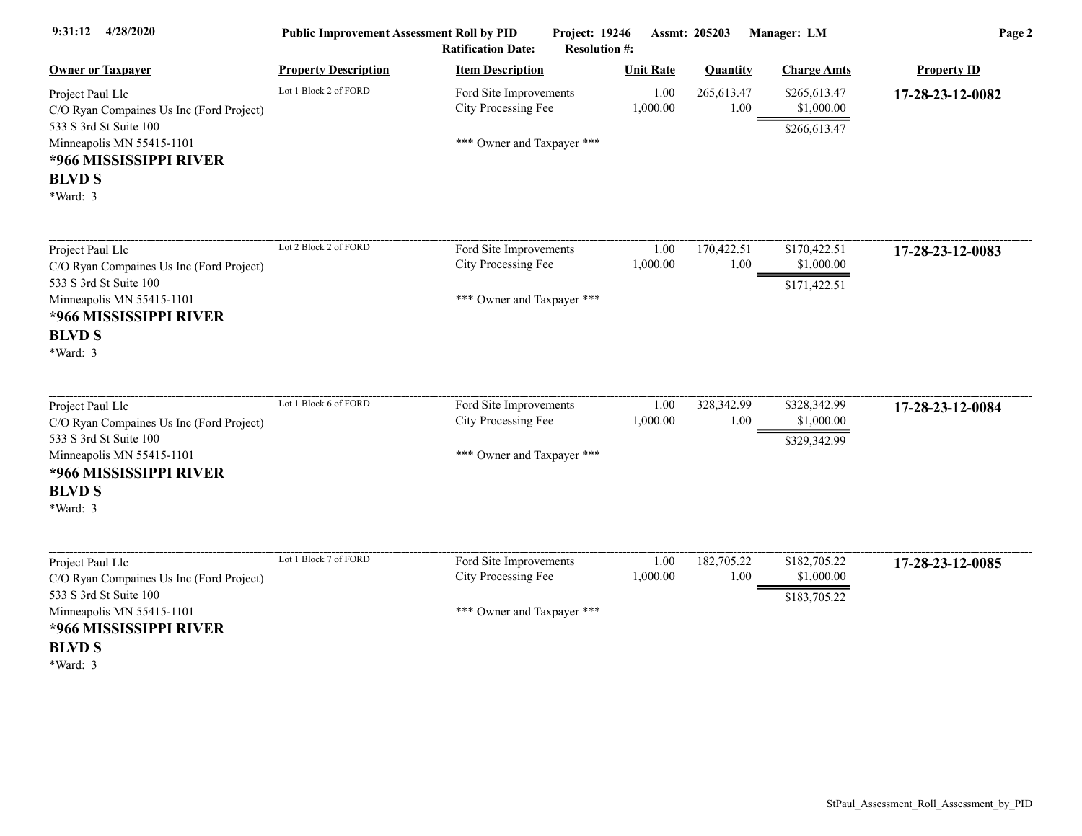| 4/28/2020<br>9:31:12                                                                                       | <b>Public Improvement Assessment Roll by PID</b><br>Project: 19246<br>Assmt: 205203<br>Manager: LM<br><b>Ratification Date:</b><br><b>Resolution #:</b> |                                               |                  |                    |                                            | Page 2             |
|------------------------------------------------------------------------------------------------------------|---------------------------------------------------------------------------------------------------------------------------------------------------------|-----------------------------------------------|------------------|--------------------|--------------------------------------------|--------------------|
| <b>Owner or Taxpayer</b>                                                                                   | <b>Property Description</b>                                                                                                                             | <b>Item Description</b>                       | <b>Unit Rate</b> | <b>Quantity</b>    | <b>Charge Amts</b>                         | <b>Property ID</b> |
| Project Paul Llc<br>C/O Ryan Compaines Us Inc (Ford Project)                                               | Lot 1 Block 2 of FORD                                                                                                                                   | Ford Site Improvements<br>City Processing Fee | 1.00<br>1,000.00 | 265,613.47<br>1.00 | \$265,613.47<br>\$1,000.00                 | 17-28-23-12-0082   |
| 533 S 3rd St Suite 100<br>Minneapolis MN 55415-1101<br>*966 MISSISSIPPI RIVER<br><b>BLVD S</b><br>*Ward: 3 |                                                                                                                                                         | *** Owner and Taxpayer ***                    |                  |                    | \$266,613.47                               |                    |
| Project Paul Llc<br>C/O Ryan Compaines Us Inc (Ford Project)                                               | Lot 2 Block 2 of FORD                                                                                                                                   | Ford Site Improvements<br>City Processing Fee | 1.00<br>1,000.00 | 170,422.51<br>1.00 | \$170,422.51<br>\$1,000.00                 | 17-28-23-12-0083   |
| 533 S 3rd St Suite 100<br>Minneapolis MN 55415-1101<br>*966 MISSISSIPPI RIVER<br><b>BLVD S</b><br>*Ward: 3 |                                                                                                                                                         | *** Owner and Taxpayer ***                    |                  |                    | \$171,422.51                               |                    |
| Project Paul Llc<br>C/O Ryan Compaines Us Inc (Ford Project)                                               | Lot 1 Block 6 of FORD                                                                                                                                   | Ford Site Improvements<br>City Processing Fee | 1.00<br>1,000.00 | 328,342.99<br>1.00 | \$328,342.99<br>\$1,000.00                 | 17-28-23-12-0084   |
| 533 S 3rd St Suite 100<br>Minneapolis MN 55415-1101<br>*966 MISSISSIPPI RIVER<br><b>BLVD S</b><br>*Ward: 3 |                                                                                                                                                         | *** Owner and Taxpayer ***                    |                  |                    | \$329,342.99                               |                    |
| Project Paul Llc<br>C/O Ryan Compaines Us Inc (Ford Project)<br>533 S 3rd St Suite 100                     | Lot 1 Block 7 of FORD                                                                                                                                   | Ford Site Improvements<br>City Processing Fee | 1.00<br>1,000.00 | 182,705.22<br>1.00 | \$182,705.22<br>\$1,000.00<br>\$183,705.22 | 17-28-23-12-0085   |
| Minneapolis MN 55415-1101<br>*966 MISSISSIPPI RIVER<br><b>BLVD S</b><br>*Ward: 3                           |                                                                                                                                                         | *** Owner and Taxpayer ***                    |                  |                    |                                            |                    |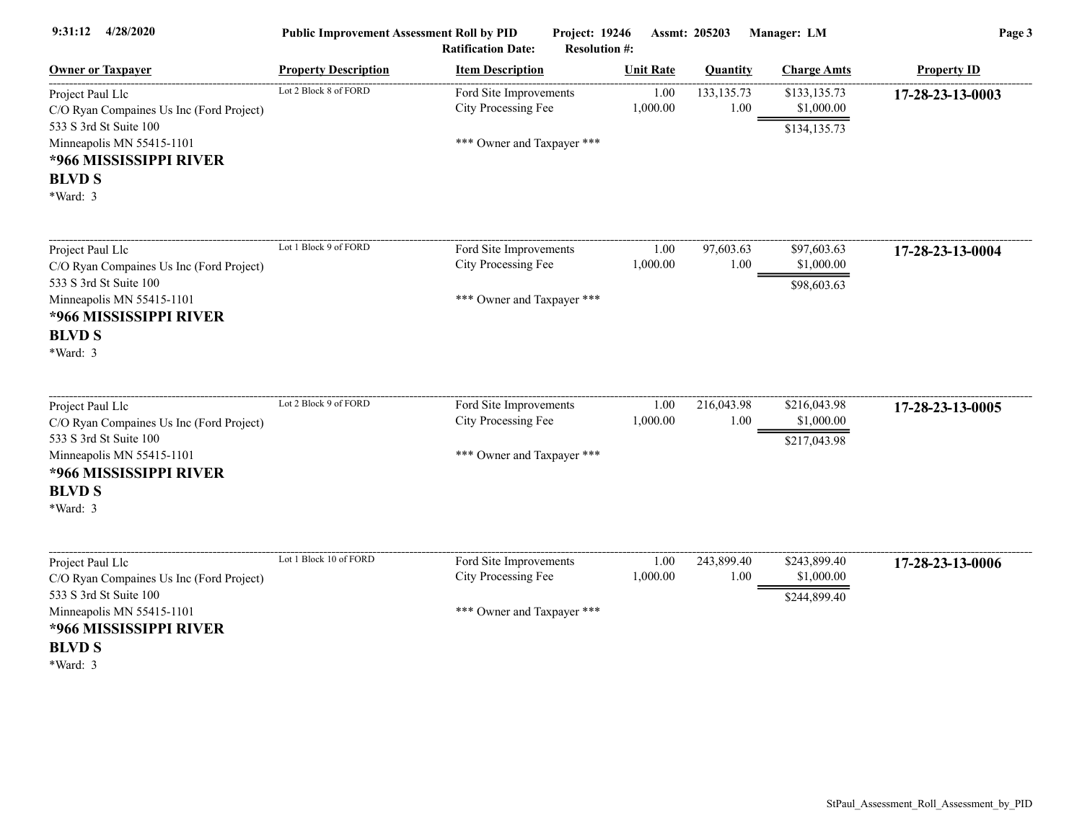| 9:31:12<br>4/28/2020                                                                                                | <b>Public Improvement Assessment Roll by PID</b><br>Project: 19246<br>Assmt: 205203<br>Manager: LM<br>Page 3<br><b>Ratification Date:</b><br><b>Resolution #:</b> |                                                                             |                  |                      |                                            |                    |
|---------------------------------------------------------------------------------------------------------------------|-------------------------------------------------------------------------------------------------------------------------------------------------------------------|-----------------------------------------------------------------------------|------------------|----------------------|--------------------------------------------|--------------------|
| <b>Owner or Taxpayer</b>                                                                                            | <b>Property Description</b>                                                                                                                                       | <b>Item Description</b>                                                     | <b>Unit Rate</b> | Quantity             | <b>Charge Amts</b>                         | <b>Property ID</b> |
| Project Paul Llc<br>C/O Ryan Compaines Us Inc (Ford Project)<br>533 S 3rd St Suite 100<br>Minneapolis MN 55415-1101 | Lot 2 Block 8 of FORD                                                                                                                                             | Ford Site Improvements<br>City Processing Fee<br>*** Owner and Taxpayer *** | 1.00<br>1,000.00 | 133, 135. 73<br>1.00 | \$133,135.73<br>\$1,000.00<br>\$134,135.73 | 17-28-23-13-0003   |
| *966 MISSISSIPPI RIVER<br><b>BLVD S</b><br>*Ward: 3                                                                 |                                                                                                                                                                   |                                                                             |                  |                      |                                            |                    |
| Project Paul Llc<br>C/O Ryan Compaines Us Inc (Ford Project)<br>533 S 3rd St Suite 100                              | Lot 1 Block 9 of FORD                                                                                                                                             | Ford Site Improvements<br>City Processing Fee                               | 1.00<br>1,000.00 | 97,603.63<br>1.00    | \$97,603.63<br>\$1,000.00<br>\$98,603.63   | 17-28-23-13-0004   |
| Minneapolis MN 55415-1101<br>*966 MISSISSIPPI RIVER<br><b>BLVD S</b><br>*Ward: 3                                    |                                                                                                                                                                   | *** Owner and Taxpayer ***                                                  |                  |                      |                                            |                    |
| Project Paul Llc<br>C/O Ryan Compaines Us Inc (Ford Project)                                                        | Lot 2 Block 9 of FORD                                                                                                                                             | Ford Site Improvements<br>City Processing Fee                               | 1.00<br>1,000.00 | 216,043.98<br>1.00   | \$216,043.98<br>\$1,000.00                 | 17-28-23-13-0005   |
| 533 S 3rd St Suite 100<br>Minneapolis MN 55415-1101<br>*966 MISSISSIPPI RIVER<br><b>BLVD S</b><br>*Ward: 3          |                                                                                                                                                                   | *** Owner and Taxpayer ***                                                  |                  |                      | \$217,043.98                               |                    |
| Project Paul Llc<br>C/O Ryan Compaines Us Inc (Ford Project)<br>533 S 3rd St Suite 100                              | Lot 1 Block 10 of FORD                                                                                                                                            | Ford Site Improvements<br>City Processing Fee                               | 1.00<br>1,000.00 | 243,899.40<br>1.00   | \$243,899.40<br>\$1,000.00<br>\$244,899.40 | 17-28-23-13-0006   |
| Minneapolis MN 55415-1101<br>*966 MISSISSIPPI RIVER<br><b>BLVD S</b><br>*Ward: 3                                    |                                                                                                                                                                   | *** Owner and Taxpayer ***                                                  |                  |                      |                                            |                    |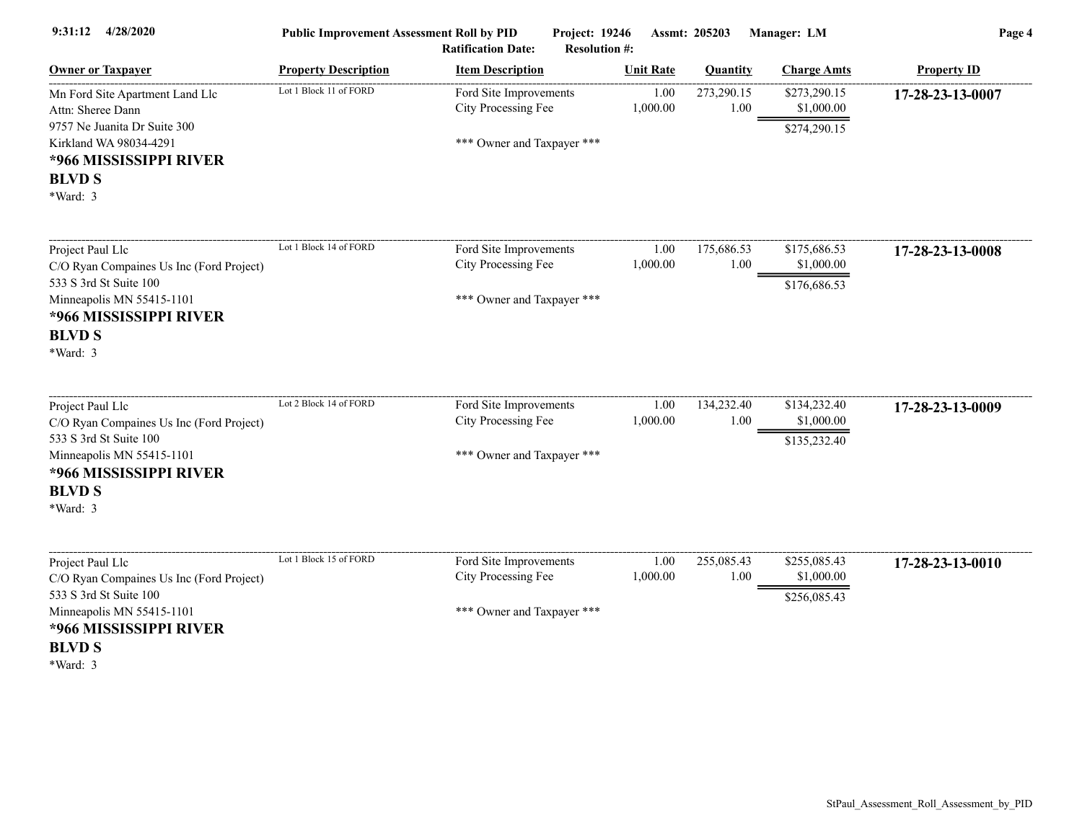| 9:31:12<br>4/28/2020                                                                                                                                                       | <b>Public Improvement Assessment Roll by PID</b><br>Project: 19246<br>Assmt: 205203<br>Manager: LM<br><b>Ratification Date:</b><br><b>Resolution #:</b> |                                                                             |                  |                    |                                            | Page 4             |  |
|----------------------------------------------------------------------------------------------------------------------------------------------------------------------------|---------------------------------------------------------------------------------------------------------------------------------------------------------|-----------------------------------------------------------------------------|------------------|--------------------|--------------------------------------------|--------------------|--|
| <b>Owner or Taxpayer</b>                                                                                                                                                   | <b>Property Description</b>                                                                                                                             | <b>Item Description</b>                                                     | <b>Unit Rate</b> | <b>Ouantity</b>    | <b>Charge Amts</b>                         | <b>Property ID</b> |  |
| Mn Ford Site Apartment Land Llc<br>Attn: Sheree Dann                                                                                                                       | Lot 1 Block 11 of FORD                                                                                                                                  | Ford Site Improvements<br>City Processing Fee                               | 1.00<br>1,000.00 | 273,290.15<br>1.00 | \$273,290.15<br>\$1,000.00                 | 17-28-23-13-0007   |  |
| 9757 Ne Juanita Dr Suite 300<br>Kirkland WA 98034-4291<br>*966 MISSISSIPPI RIVER<br><b>BLVD S</b><br>*Ward: 3                                                              |                                                                                                                                                         | *** Owner and Taxpayer ***                                                  |                  |                    | \$274,290.15                               |                    |  |
| Project Paul Llc<br>C/O Ryan Compaines Us Inc (Ford Project)<br>533 S 3rd St Suite 100<br>Minneapolis MN 55415-1101<br>*966 MISSISSIPPI RIVER<br><b>BLVD S</b><br>*Ward: 3 | Lot 1 Block 14 of FORD                                                                                                                                  | Ford Site Improvements<br>City Processing Fee<br>*** Owner and Taxpayer *** | 1.00<br>1,000.00 | 175,686.53<br>1.00 | \$175,686.53<br>\$1,000.00<br>\$176,686.53 | 17-28-23-13-0008   |  |
| Project Paul Llc<br>C/O Ryan Compaines Us Inc (Ford Project)<br>533 S 3rd St Suite 100<br>Minneapolis MN 55415-1101<br>*966 MISSISSIPPI RIVER<br><b>BLVD S</b><br>*Ward: 3 | Lot 2 Block 14 of FORD                                                                                                                                  | Ford Site Improvements<br>City Processing Fee<br>*** Owner and Taxpayer *** | 1.00<br>1,000.00 | 134,232.40<br>1.00 | \$134,232.40<br>\$1,000.00<br>\$135,232.40 | 17-28-23-13-0009   |  |
| Project Paul Llc<br>C/O Ryan Compaines Us Inc (Ford Project)<br>533 S 3rd St Suite 100<br>Minneapolis MN 55415-1101<br>*966 MISSISSIPPI RIVER<br><b>BLVD S</b><br>*Ward: 3 | Lot 1 Block 15 of FORD                                                                                                                                  | Ford Site Improvements<br>City Processing Fee<br>*** Owner and Taxpayer *** | 1.00<br>1,000.00 | 255,085.43<br>1.00 | \$255,085.43<br>\$1,000.00<br>\$256,085.43 | 17-28-23-13-0010   |  |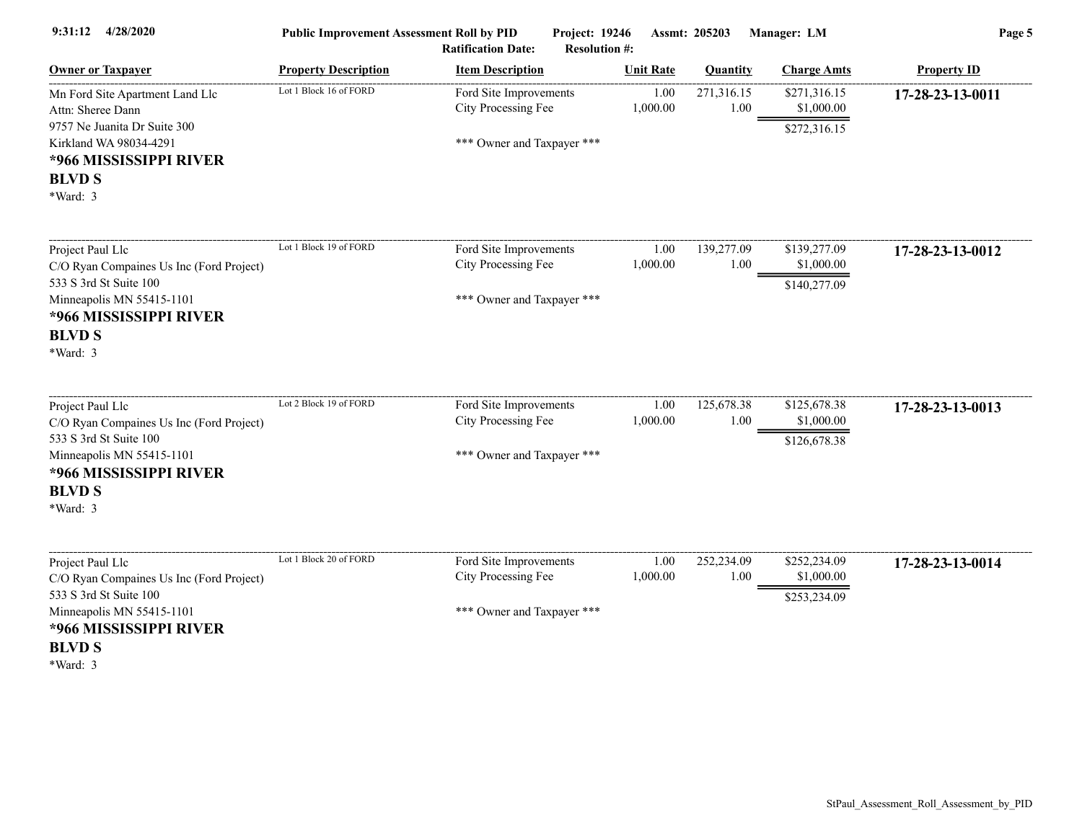| 4/28/2020<br>9:31:12                                                                                                                                                       | <b>Public Improvement Assessment Roll by PID</b><br>Project: 19246<br>Assmt: 205203<br>Manager: LM<br><b>Ratification Date:</b><br><b>Resolution #:</b> |                                                                             |                  |                    |                                            | Page 5             |  |
|----------------------------------------------------------------------------------------------------------------------------------------------------------------------------|---------------------------------------------------------------------------------------------------------------------------------------------------------|-----------------------------------------------------------------------------|------------------|--------------------|--------------------------------------------|--------------------|--|
| <b>Owner or Taxpayer</b>                                                                                                                                                   | <b>Property Description</b>                                                                                                                             | <b>Item Description</b>                                                     | <b>Unit Rate</b> | <b>Quantity</b>    | <b>Charge Amts</b>                         | <b>Property ID</b> |  |
| Mn Ford Site Apartment Land Llc<br>Attn: Sheree Dann                                                                                                                       | Lot 1 Block 16 of FORD                                                                                                                                  | Ford Site Improvements<br>City Processing Fee                               | 1.00<br>1,000.00 | 271,316.15<br>1.00 | \$271,316.15<br>\$1,000.00                 | 17-28-23-13-0011   |  |
| 9757 Ne Juanita Dr Suite 300<br>Kirkland WA 98034-4291<br>*966 MISSISSIPPI RIVER<br><b>BLVD S</b><br>*Ward: 3                                                              |                                                                                                                                                         | *** Owner and Taxpayer ***                                                  |                  |                    | \$272,316.15                               |                    |  |
| Project Paul Llc<br>C/O Ryan Compaines Us Inc (Ford Project)<br>533 S 3rd St Suite 100<br>Minneapolis MN 55415-1101<br>*966 MISSISSIPPI RIVER<br><b>BLVD S</b><br>*Ward: 3 | Lot 1 Block 19 of FORD                                                                                                                                  | Ford Site Improvements<br>City Processing Fee<br>*** Owner and Taxpayer *** | 1.00<br>1,000.00 | 139,277.09<br>1.00 | \$139,277.09<br>\$1,000.00<br>\$140,277.09 | 17-28-23-13-0012   |  |
| Project Paul Llc<br>C/O Ryan Compaines Us Inc (Ford Project)<br>533 S 3rd St Suite 100<br>Minneapolis MN 55415-1101<br>*966 MISSISSIPPI RIVER<br><b>BLVD S</b><br>*Ward: 3 | Lot 2 Block 19 of FORD                                                                                                                                  | Ford Site Improvements<br>City Processing Fee<br>*** Owner and Taxpayer *** | 1.00<br>1,000.00 | 125,678.38<br>1.00 | \$125,678.38<br>\$1,000.00<br>\$126,678.38 | 17-28-23-13-0013   |  |
| Project Paul Llc<br>C/O Ryan Compaines Us Inc (Ford Project)<br>533 S 3rd St Suite 100<br>Minneapolis MN 55415-1101<br>*966 MISSISSIPPI RIVER<br><b>BLVD S</b><br>*Ward: 3 | Lot 1 Block 20 of FORD                                                                                                                                  | Ford Site Improvements<br>City Processing Fee<br>*** Owner and Taxpayer *** | 1.00<br>1,000.00 | 252,234.09<br>1.00 | \$252,234.09<br>\$1,000.00<br>\$253,234.09 | 17-28-23-13-0014   |  |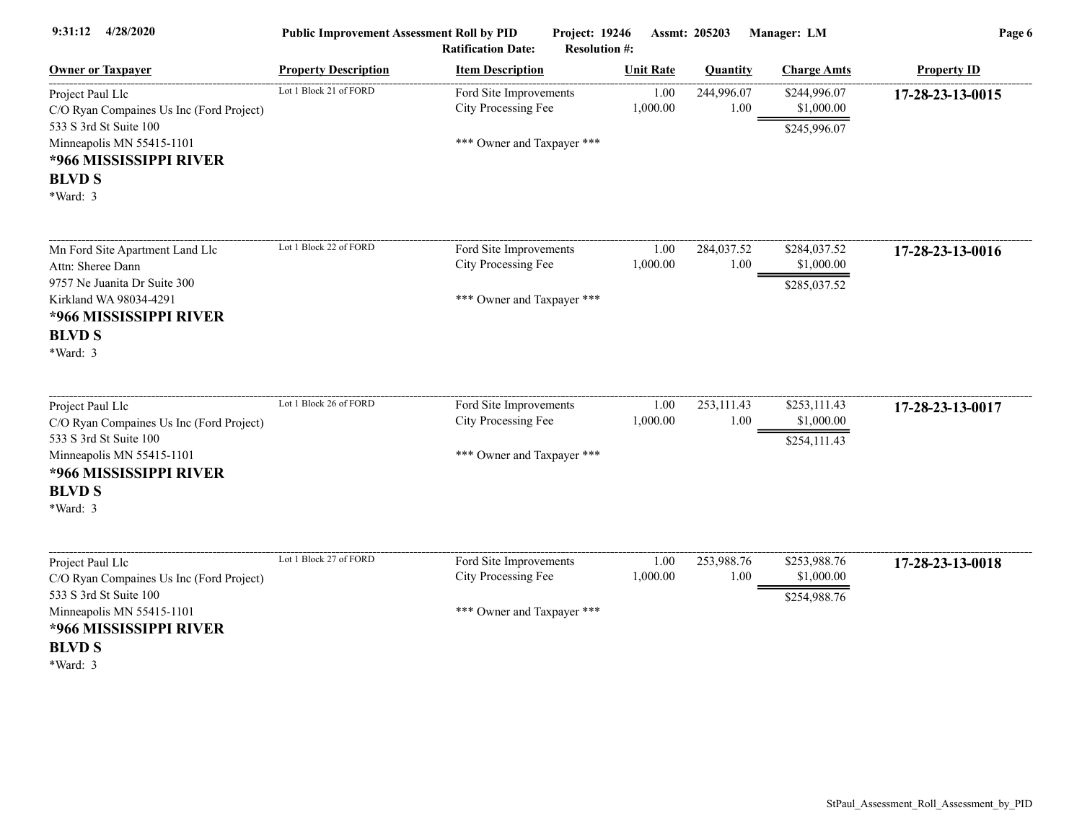| 4/28/2020<br>9:31:12                                                                                          | <b>Public Improvement Assessment Roll by PID</b><br>Project: 19246<br>Assmt: 205203<br>Manager: LM<br><b>Ratification Date:</b><br><b>Resolution #:</b> |                                               |                  |                    |                                            |                    |
|---------------------------------------------------------------------------------------------------------------|---------------------------------------------------------------------------------------------------------------------------------------------------------|-----------------------------------------------|------------------|--------------------|--------------------------------------------|--------------------|
| <b>Owner or Taxpayer</b>                                                                                      | <b>Property Description</b>                                                                                                                             | <b>Item Description</b>                       | <b>Unit Rate</b> | Quantity           | <b>Charge Amts</b>                         | <b>Property ID</b> |
| Project Paul Llc<br>C/O Ryan Compaines Us Inc (Ford Project)                                                  | Lot 1 Block 21 of FORD                                                                                                                                  | Ford Site Improvements<br>City Processing Fee | 1.00<br>1,000.00 | 244,996.07<br>1.00 | \$244,996.07<br>\$1,000.00                 | 17-28-23-13-0015   |
| 533 S 3rd St Suite 100<br>Minneapolis MN 55415-1101<br>*966 MISSISSIPPI RIVER<br><b>BLVD S</b><br>*Ward: 3    |                                                                                                                                                         | *** Owner and Taxpayer ***                    |                  |                    | \$245,996.07                               |                    |
| Mn Ford Site Apartment Land Llc<br>Attn: Sheree Dann                                                          | Lot 1 Block 22 of FORD                                                                                                                                  | Ford Site Improvements<br>City Processing Fee | 1.00<br>1,000.00 | 284,037.52<br>1.00 | \$284,037.52<br>\$1,000.00                 | 17-28-23-13-0016   |
| 9757 Ne Juanita Dr Suite 300<br>Kirkland WA 98034-4291<br>*966 MISSISSIPPI RIVER<br><b>BLVD S</b><br>*Ward: 3 |                                                                                                                                                         | *** Owner and Taxpayer ***                    |                  |                    | \$285,037.52                               |                    |
| Project Paul Llc<br>C/O Ryan Compaines Us Inc (Ford Project)                                                  | Lot 1 Block 26 of FORD                                                                                                                                  | Ford Site Improvements<br>City Processing Fee | 1.00<br>1,000.00 | 253,111.43<br>1.00 | \$253,111.43<br>\$1,000.00                 | 17-28-23-13-0017   |
| 533 S 3rd St Suite 100<br>Minneapolis MN 55415-1101<br>*966 MISSISSIPPI RIVER<br><b>BLVD S</b><br>*Ward: 3    |                                                                                                                                                         | *** Owner and Taxpayer ***                    |                  |                    | \$254,111.43                               |                    |
| Project Paul Llc<br>C/O Ryan Compaines Us Inc (Ford Project)<br>533 S 3rd St Suite 100                        | Lot 1 Block 27 of FORD                                                                                                                                  | Ford Site Improvements<br>City Processing Fee | 1.00<br>1,000.00 | 253,988.76<br>1.00 | \$253,988.76<br>\$1,000.00<br>\$254,988.76 | 17-28-23-13-0018   |
| Minneapolis MN 55415-1101<br>*966 MISSISSIPPI RIVER<br><b>BLVD S</b><br>*Ward: 3                              |                                                                                                                                                         | *** Owner and Taxpayer ***                    |                  |                    |                                            |                    |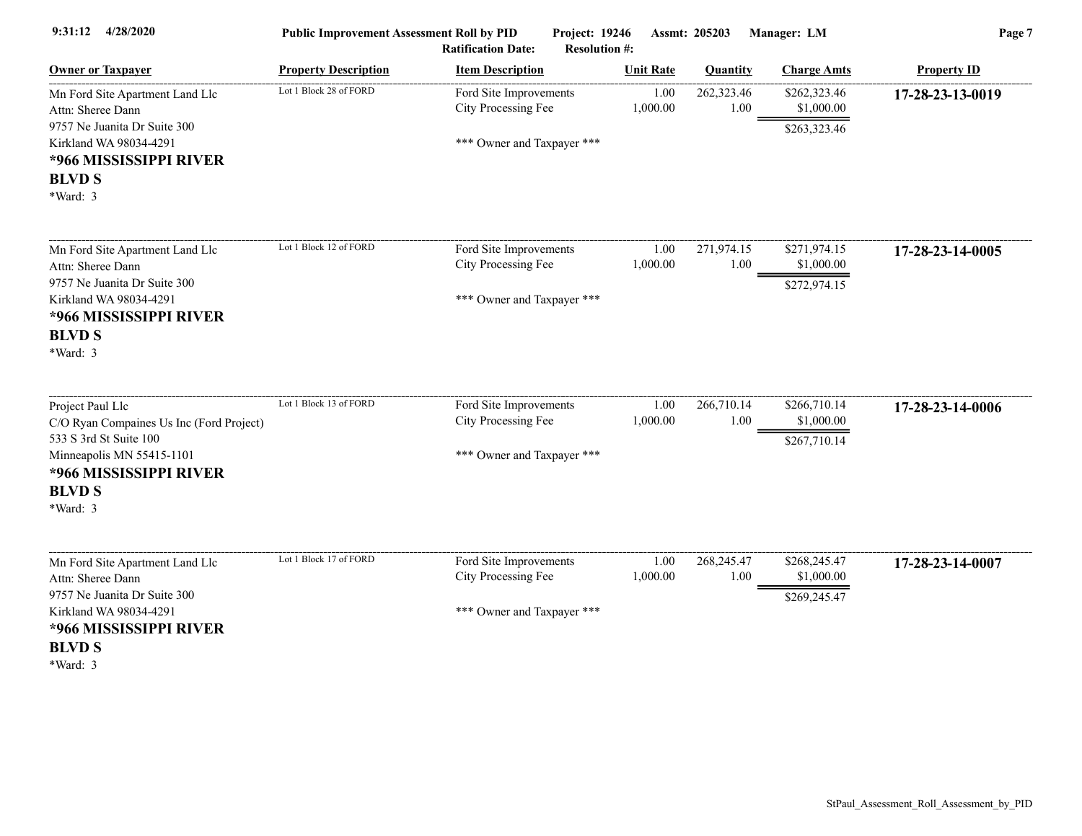| 9:31:12 4/28/2020                                                                                                                                                          | <b>Public Improvement Assessment Roll by PID</b><br>Project: 19246<br>Assmt: 205203<br>Manager: LM<br><b>Ratification Date:</b><br><b>Resolution #:</b> |                                                                             |                  |                    |                                            | Page 7             |  |
|----------------------------------------------------------------------------------------------------------------------------------------------------------------------------|---------------------------------------------------------------------------------------------------------------------------------------------------------|-----------------------------------------------------------------------------|------------------|--------------------|--------------------------------------------|--------------------|--|
| <b>Owner or Taxpayer</b>                                                                                                                                                   | <b>Property Description</b>                                                                                                                             | <b>Item Description</b>                                                     | <b>Unit Rate</b> | Quantity           | <b>Charge Amts</b>                         | <b>Property ID</b> |  |
| Mn Ford Site Apartment Land Llc<br>Attn: Sheree Dann<br>9757 Ne Juanita Dr Suite 300<br>Kirkland WA 98034-4291<br>*966 MISSISSIPPI RIVER<br><b>BLVD S</b><br>*Ward: 3      | Lot 1 Block 28 of FORD                                                                                                                                  | Ford Site Improvements<br>City Processing Fee<br>*** Owner and Taxpayer *** | 1.00<br>1,000.00 | 262,323.46<br>1.00 | \$262,323.46<br>\$1,000.00<br>\$263,323.46 | 17-28-23-13-0019   |  |
| Mn Ford Site Apartment Land Llc<br>Attn: Sheree Dann<br>9757 Ne Juanita Dr Suite 300<br>Kirkland WA 98034-4291<br>*966 MISSISSIPPI RIVER<br><b>BLVD S</b><br>*Ward: 3      | Lot 1 Block 12 of FORD                                                                                                                                  | Ford Site Improvements<br>City Processing Fee<br>*** Owner and Taxpayer *** | 1.00<br>1,000.00 | 271,974.15<br>1.00 | \$271,974.15<br>\$1,000.00<br>\$272,974.15 | 17-28-23-14-0005   |  |
| Project Paul Llc<br>C/O Ryan Compaines Us Inc (Ford Project)<br>533 S 3rd St Suite 100<br>Minneapolis MN 55415-1101<br>*966 MISSISSIPPI RIVER<br><b>BLVD S</b><br>*Ward: 3 | Lot 1 Block 13 of FORD                                                                                                                                  | Ford Site Improvements<br>City Processing Fee<br>*** Owner and Taxpayer *** | 1.00<br>1,000.00 | 266,710.14<br>1.00 | \$266,710.14<br>\$1,000.00<br>\$267,710.14 | 17-28-23-14-0006   |  |
| Mn Ford Site Apartment Land Llc<br>Attn: Sheree Dann<br>9757 Ne Juanita Dr Suite 300<br>Kirkland WA 98034-4291<br>*966 MISSISSIPPI RIVER<br><b>BLVD S</b><br>*Ward: 3      | Lot 1 Block 17 of FORD                                                                                                                                  | Ford Site Improvements<br>City Processing Fee<br>*** Owner and Taxpayer *** | 1.00<br>1,000.00 | 268,245.47<br>1.00 | \$268,245.47<br>\$1,000.00<br>\$269,245.47 | 17-28-23-14-0007   |  |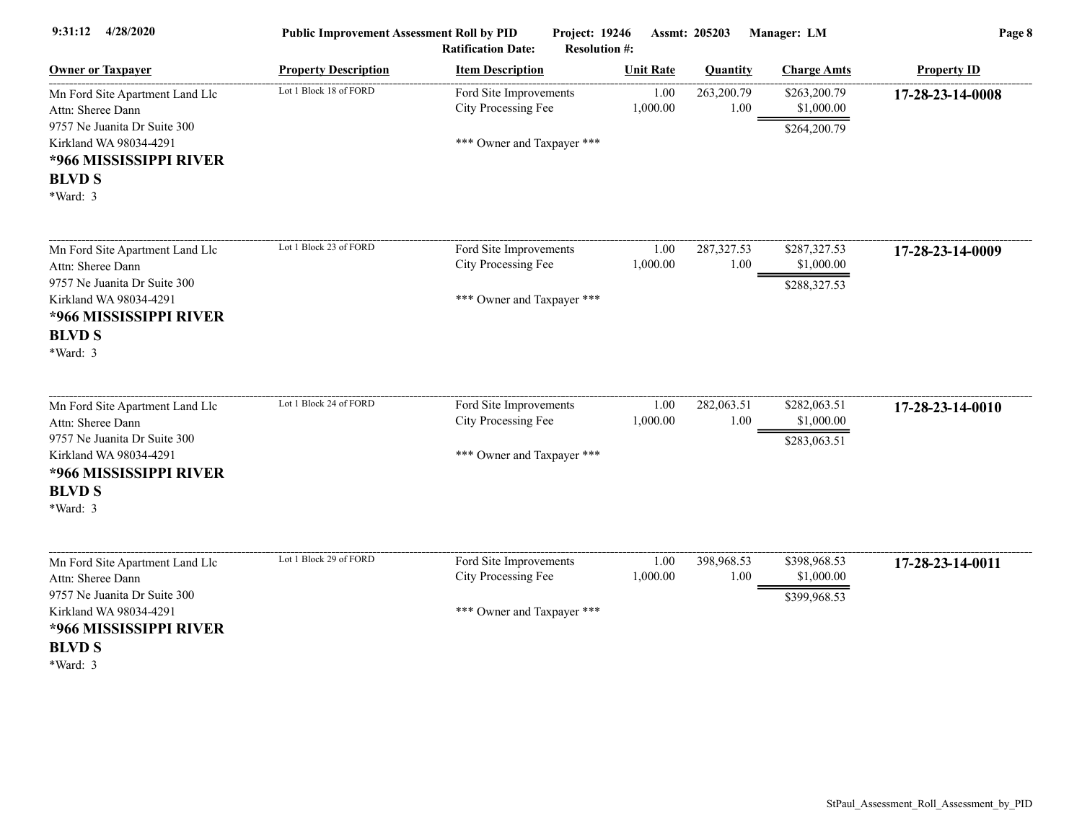| 9:31:12 4/28/2020                                                                                                                                                     | <b>Public Improvement Assessment Roll by PID</b><br>Project: 19246<br>Assmt: 205203<br>Manager: LM<br><b>Ratification Date:</b><br><b>Resolution #:</b> |                                                                             |                  |                     |                                            | Page 8             |  |
|-----------------------------------------------------------------------------------------------------------------------------------------------------------------------|---------------------------------------------------------------------------------------------------------------------------------------------------------|-----------------------------------------------------------------------------|------------------|---------------------|--------------------------------------------|--------------------|--|
| <b>Owner or Taxpayer</b>                                                                                                                                              | <b>Property Description</b>                                                                                                                             | <b>Item Description</b>                                                     | <b>Unit Rate</b> | Quantity            | <b>Charge Amts</b>                         | <b>Property ID</b> |  |
| Mn Ford Site Apartment Land Llc<br>Attn: Sheree Dann<br>9757 Ne Juanita Dr Suite 300<br>Kirkland WA 98034-4291<br>*966 MISSISSIPPI RIVER                              | Lot 1 Block 18 of FORD                                                                                                                                  | Ford Site Improvements<br>City Processing Fee<br>*** Owner and Taxpayer *** | 1.00<br>1,000.00 | 263,200.79<br>1.00  | \$263,200.79<br>\$1,000.00<br>\$264,200.79 | 17-28-23-14-0008   |  |
| <b>BLVD S</b><br>*Ward: 3                                                                                                                                             |                                                                                                                                                         |                                                                             |                  |                     |                                            |                    |  |
| Mn Ford Site Apartment Land Llc<br>Attn: Sheree Dann<br>9757 Ne Juanita Dr Suite 300<br>Kirkland WA 98034-4291<br>*966 MISSISSIPPI RIVER<br><b>BLVD S</b><br>*Ward: 3 | Lot 1 Block 23 of FORD                                                                                                                                  | Ford Site Improvements<br>City Processing Fee<br>*** Owner and Taxpayer *** | 1.00<br>1,000.00 | 287, 327.53<br>1.00 | \$287,327.53<br>\$1,000.00<br>\$288,327.53 | 17-28-23-14-0009   |  |
| Mn Ford Site Apartment Land Llc<br>Attn: Sheree Dann<br>9757 Ne Juanita Dr Suite 300<br>Kirkland WA 98034-4291<br>*966 MISSISSIPPI RIVER<br><b>BLVD S</b><br>*Ward: 3 | Lot 1 Block 24 of FORD                                                                                                                                  | Ford Site Improvements<br>City Processing Fee<br>*** Owner and Taxpayer *** | 1.00<br>1,000.00 | 282,063.51<br>1.00  | \$282,063.51<br>\$1,000.00<br>\$283,063.51 | 17-28-23-14-0010   |  |
| Mn Ford Site Apartment Land Llc<br>Attn: Sheree Dann<br>9757 Ne Juanita Dr Suite 300<br>Kirkland WA 98034-4291<br>*966 MISSISSIPPI RIVER<br><b>BLVD S</b><br>*Ward: 3 | Lot 1 Block 29 of FORD                                                                                                                                  | Ford Site Improvements<br>City Processing Fee<br>*** Owner and Taxpayer *** | 1.00<br>1,000.00 | 398,968.53<br>1.00  | \$398,968.53<br>\$1,000.00<br>\$399,968.53 | 17-28-23-14-0011   |  |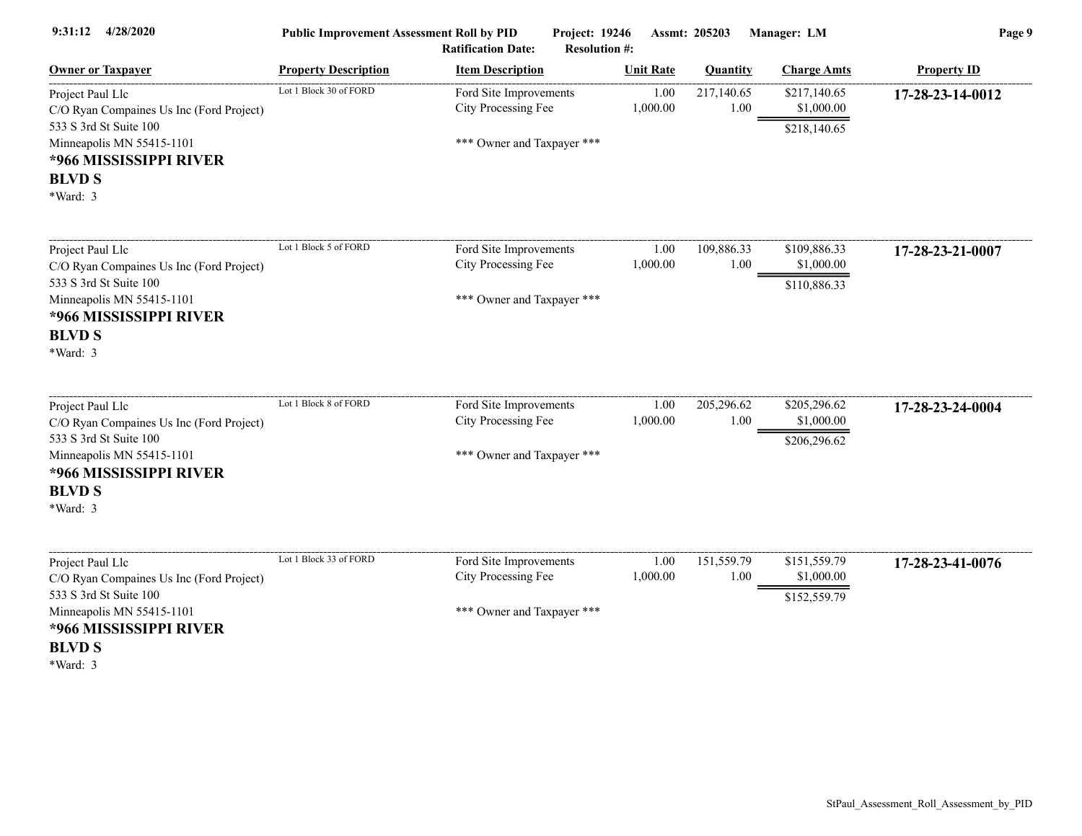| 4/28/2020<br>9:31:12                                                                                       | Page 9<br><b>Public Improvement Assessment Roll by PID</b><br>Project: 19246<br>Assmt: 205203<br>Manager: LM<br><b>Ratification Date:</b><br><b>Resolution #:</b> |                                               |                  |                    |                                            |                    |
|------------------------------------------------------------------------------------------------------------|-------------------------------------------------------------------------------------------------------------------------------------------------------------------|-----------------------------------------------|------------------|--------------------|--------------------------------------------|--------------------|
| <b>Owner or Taxpayer</b>                                                                                   | <b>Property Description</b>                                                                                                                                       | <b>Item Description</b>                       | <b>Unit Rate</b> | <b>Quantity</b>    | <b>Charge Amts</b>                         | <b>Property ID</b> |
| Project Paul Llc<br>C/O Ryan Compaines Us Inc (Ford Project)                                               | Lot 1 Block 30 of FORD                                                                                                                                            | Ford Site Improvements<br>City Processing Fee | 1.00<br>1,000.00 | 217,140.65<br>1.00 | \$217,140.65<br>\$1,000.00                 | 17-28-23-14-0012   |
| 533 S 3rd St Suite 100<br>Minneapolis MN 55415-1101<br>*966 MISSISSIPPI RIVER<br><b>BLVD S</b><br>*Ward: 3 |                                                                                                                                                                   | *** Owner and Taxpayer ***                    |                  |                    | \$218,140.65                               |                    |
| Project Paul Llc<br>C/O Ryan Compaines Us Inc (Ford Project)                                               | Lot 1 Block 5 of FORD                                                                                                                                             | Ford Site Improvements<br>City Processing Fee | 1.00<br>1,000.00 | 109,886.33<br>1.00 | \$109,886.33<br>\$1,000.00                 | 17-28-23-21-0007   |
| 533 S 3rd St Suite 100<br>Minneapolis MN 55415-1101<br>*966 MISSISSIPPI RIVER<br><b>BLVD S</b><br>*Ward: 3 |                                                                                                                                                                   | *** Owner and Taxpayer ***                    |                  |                    | \$110,886.33                               |                    |
| Project Paul Llc<br>C/O Ryan Compaines Us Inc (Ford Project)                                               | Lot 1 Block 8 of FORD                                                                                                                                             | Ford Site Improvements<br>City Processing Fee | 1.00<br>1,000.00 | 205,296.62<br>1.00 | \$205,296.62<br>\$1,000.00                 | 17-28-23-24-0004   |
| 533 S 3rd St Suite 100<br>Minneapolis MN 55415-1101<br>*966 MISSISSIPPI RIVER<br><b>BLVD S</b><br>*Ward: 3 |                                                                                                                                                                   | *** Owner and Taxpayer ***                    |                  |                    | \$206,296.62                               |                    |
| Project Paul Llc<br>C/O Ryan Compaines Us Inc (Ford Project)<br>533 S 3rd St Suite 100                     | Lot 1 Block 33 of FORD                                                                                                                                            | Ford Site Improvements<br>City Processing Fee | 1.00<br>1,000.00 | 151,559.79<br>1.00 | \$151,559.79<br>\$1,000.00<br>\$152,559.79 | 17-28-23-41-0076   |
| Minneapolis MN 55415-1101<br>*966 MISSISSIPPI RIVER<br><b>BLVD S</b><br>*Ward: 3                           |                                                                                                                                                                   | *** Owner and Taxpayer ***                    |                  |                    |                                            |                    |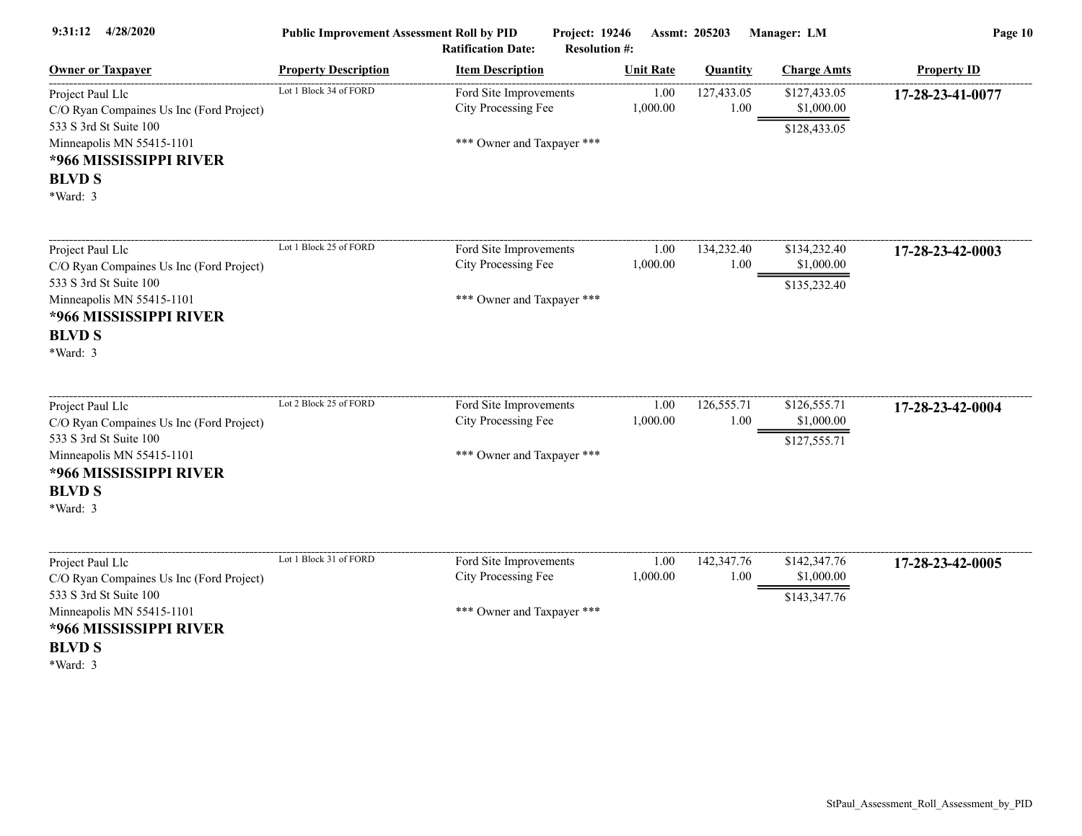| 4/28/2020<br>9:31:12                                                                                       | <b>Public Improvement Assessment Roll by PID</b><br>Project: 19246<br>Assmt: 205203<br>Manager: LM<br><b>Ratification Date:</b><br><b>Resolution #:</b> |                                               |                  |                    |                                            | Page 10            |  |
|------------------------------------------------------------------------------------------------------------|---------------------------------------------------------------------------------------------------------------------------------------------------------|-----------------------------------------------|------------------|--------------------|--------------------------------------------|--------------------|--|
| <b>Owner or Taxpayer</b>                                                                                   | <b>Property Description</b>                                                                                                                             | <b>Item Description</b>                       | <b>Unit Rate</b> | <b>Quantity</b>    | <b>Charge Amts</b>                         | <b>Property ID</b> |  |
| Project Paul Llc<br>C/O Ryan Compaines Us Inc (Ford Project)                                               | Lot 1 Block 34 of FORD                                                                                                                                  | Ford Site Improvements<br>City Processing Fee | 1.00<br>1,000.00 | 127,433.05<br>1.00 | \$127,433.05<br>\$1,000.00                 | 17-28-23-41-0077   |  |
| 533 S 3rd St Suite 100<br>Minneapolis MN 55415-1101<br>*966 MISSISSIPPI RIVER<br><b>BLVD S</b><br>*Ward: 3 |                                                                                                                                                         | *** Owner and Taxpayer ***                    |                  |                    | \$128,433.05                               |                    |  |
| Project Paul Llc<br>C/O Ryan Compaines Us Inc (Ford Project)                                               | Lot 1 Block 25 of FORD                                                                                                                                  | Ford Site Improvements<br>City Processing Fee | 1.00<br>1,000.00 | 134,232.40<br>1.00 | \$134,232.40<br>\$1,000.00                 | 17-28-23-42-0003   |  |
| 533 S 3rd St Suite 100<br>Minneapolis MN 55415-1101<br>*966 MISSISSIPPI RIVER<br><b>BLVD S</b><br>*Ward: 3 |                                                                                                                                                         | *** Owner and Taxpayer ***                    |                  |                    | \$135,232.40                               |                    |  |
| Project Paul Llc<br>C/O Ryan Compaines Us Inc (Ford Project)                                               | Lot 2 Block 25 of FORD                                                                                                                                  | Ford Site Improvements<br>City Processing Fee | 1.00<br>1,000.00 | 126,555.71<br>1.00 | \$126,555.71<br>\$1,000.00                 | 17-28-23-42-0004   |  |
| 533 S 3rd St Suite 100<br>Minneapolis MN 55415-1101<br>*966 MISSISSIPPI RIVER<br><b>BLVD S</b><br>*Ward: 3 |                                                                                                                                                         | *** Owner and Taxpayer ***                    |                  |                    | \$127,555.71                               |                    |  |
| Project Paul Llc<br>C/O Ryan Compaines Us Inc (Ford Project)<br>533 S 3rd St Suite 100                     | Lot 1 Block 31 of FORD                                                                                                                                  | Ford Site Improvements<br>City Processing Fee | 1.00<br>1,000.00 | 142,347.76<br>1.00 | \$142,347.76<br>\$1,000.00<br>\$143,347.76 | 17-28-23-42-0005   |  |
| Minneapolis MN 55415-1101<br>*966 MISSISSIPPI RIVER<br><b>BLVD S</b><br>*Ward: 3                           |                                                                                                                                                         | *** Owner and Taxpayer ***                    |                  |                    |                                            |                    |  |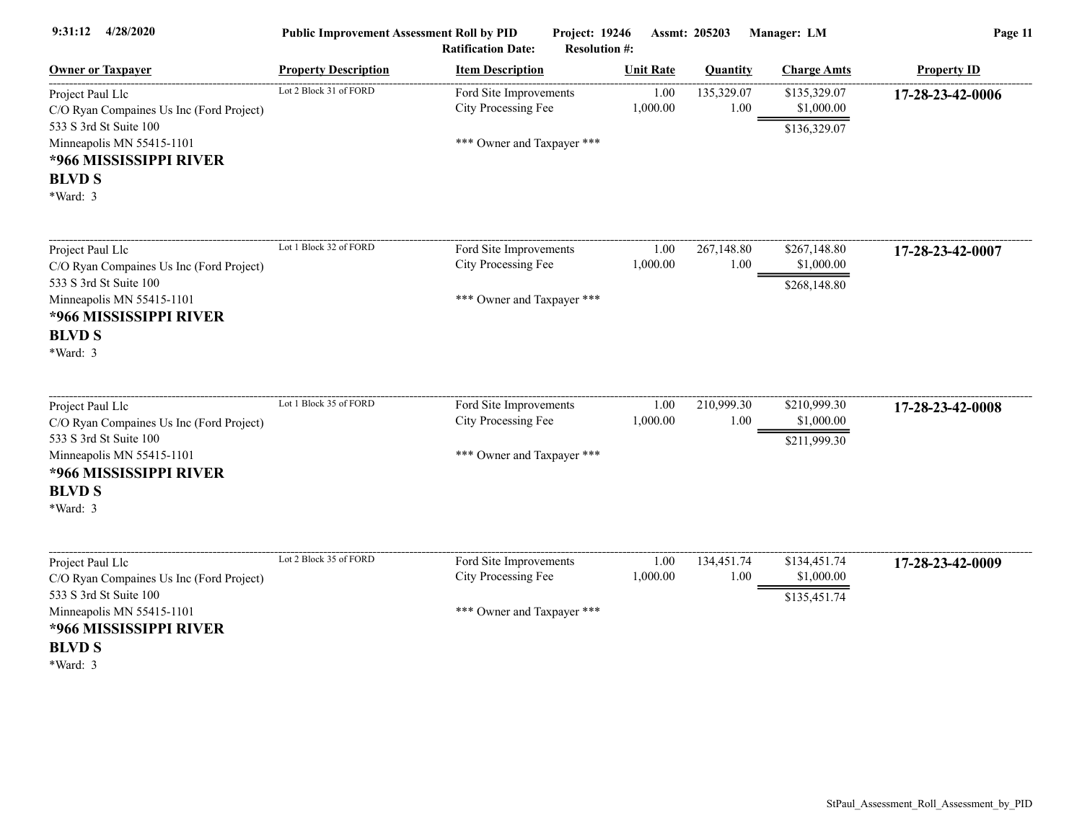| 4/28/2020<br>9:31:12                                                                                       | <b>Public Improvement Assessment Roll by PID</b><br>Project: 19246<br>Assmt: 205203<br>Manager: LM<br><b>Ratification Date:</b><br><b>Resolution #:</b> |                                               |                  |                    |                            |                    |
|------------------------------------------------------------------------------------------------------------|---------------------------------------------------------------------------------------------------------------------------------------------------------|-----------------------------------------------|------------------|--------------------|----------------------------|--------------------|
| <b>Owner or Taxpayer</b>                                                                                   | <b>Property Description</b>                                                                                                                             | <b>Item Description</b>                       | <b>Unit Rate</b> | <b>Quantity</b>    | <b>Charge Amts</b>         | <b>Property ID</b> |
| Project Paul Llc<br>C/O Ryan Compaines Us Inc (Ford Project)                                               | Lot 2 Block 31 of FORD                                                                                                                                  | Ford Site Improvements<br>City Processing Fee | 1.00<br>1,000.00 | 135,329.07<br>1.00 | \$135,329.07<br>\$1,000.00 | 17-28-23-42-0006   |
| 533 S 3rd St Suite 100<br>Minneapolis MN 55415-1101<br>*966 MISSISSIPPI RIVER<br><b>BLVD S</b><br>*Ward: 3 |                                                                                                                                                         | *** Owner and Taxpayer ***                    |                  |                    | \$136,329.07               |                    |
| Project Paul Llc<br>C/O Ryan Compaines Us Inc (Ford Project)                                               | Lot 1 Block 32 of FORD                                                                                                                                  | Ford Site Improvements<br>City Processing Fee | 1.00<br>1,000.00 | 267,148.80<br>1.00 | \$267,148.80<br>\$1,000.00 | 17-28-23-42-0007   |
| 533 S 3rd St Suite 100<br>Minneapolis MN 55415-1101<br>*966 MISSISSIPPI RIVER<br><b>BLVD S</b><br>*Ward: 3 |                                                                                                                                                         | *** Owner and Taxpayer ***                    |                  |                    | \$268,148.80               |                    |
| Project Paul Llc<br>C/O Ryan Compaines Us Inc (Ford Project)                                               | Lot 1 Block 35 of FORD                                                                                                                                  | Ford Site Improvements<br>City Processing Fee | 1.00<br>1,000.00 | 210,999.30<br>1.00 | \$210,999.30<br>\$1,000.00 | 17-28-23-42-0008   |
| 533 S 3rd St Suite 100<br>Minneapolis MN 55415-1101<br>*966 MISSISSIPPI RIVER<br><b>BLVD S</b><br>*Ward: 3 |                                                                                                                                                         | *** Owner and Taxpayer ***                    |                  |                    | \$211,999.30               |                    |
| Project Paul Llc<br>C/O Ryan Compaines Us Inc (Ford Project)                                               | Lot 2 Block 35 of FORD                                                                                                                                  | Ford Site Improvements<br>City Processing Fee | 1.00<br>1,000.00 | 134,451.74<br>1.00 | \$134,451.74<br>\$1,000.00 | 17-28-23-42-0009   |
| 533 S 3rd St Suite 100<br>Minneapolis MN 55415-1101<br>*966 MISSISSIPPI RIVER<br><b>BLVD S</b><br>*Ward: 3 |                                                                                                                                                         | *** Owner and Taxpayer ***                    |                  |                    | \$135,451.74               |                    |